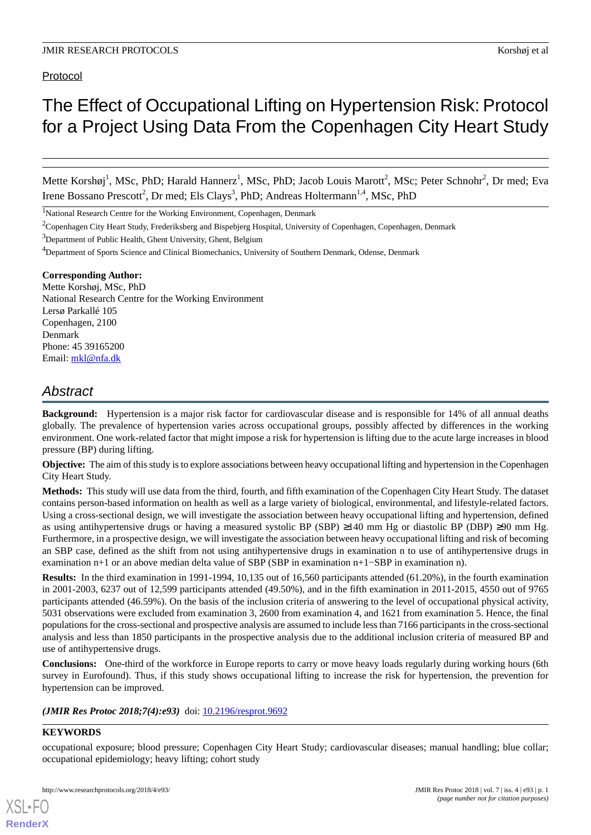# Protocol

# The Effect of Occupational Lifting on Hypertension Risk: Protocol for a Project Using Data From the Copenhagen City Heart Study

Mette Korshøj<sup>1</sup>, MSc, PhD; Harald Hannerz<sup>1</sup>, MSc, PhD; Jacob Louis Marott<sup>2</sup>, MSc; Peter Schnohr<sup>2</sup>, Dr med; Eva Irene Bossano Prescott<sup>2</sup>, Dr med; Els Clays<sup>3</sup>, PhD; Andreas Holtermann<sup>1,4</sup>, MSc, PhD

<sup>1</sup>National Research Centre for the Working Environment, Copenhagen, Denmark

<sup>2</sup>Copenhagen City Heart Study, Frederiksberg and Bispebjerg Hospital, University of Copenhagen, Copenhagen, Denmark

<sup>3</sup>Department of Public Health, Ghent University, Ghent, Belgium

<sup>4</sup>Department of Sports Science and Clinical Biomechanics, University of Southern Denmark, Odense, Denmark

# **Corresponding Author:**

Mette Korshøj, MSc, PhD National Research Centre for the Working Environment Lersø Parkallé 105 Copenhagen, 2100 Denmark Phone: 45 39165200 Email: [mkl@nfa.dk](mailto:mkl@nfa.dk)

# *Abstract*

**Background:** Hypertension is a major risk factor for cardiovascular disease and is responsible for 14% of all annual deaths globally. The prevalence of hypertension varies across occupational groups, possibly affected by differences in the working environment. One work-related factor that might impose a risk for hypertension is lifting due to the acute large increases in blood pressure (BP) during lifting.

**Objective:** The aim of this study is to explore associations between heavy occupational lifting and hypertension in the Copenhagen City Heart Study.

**Methods:** This study will use data from the third, fourth, and fifth examination of the Copenhagen City Heart Study. The dataset contains person-based information on health as well as a large variety of biological, environmental, and lifestyle-related factors. Using a cross-sectional design, we will investigate the association between heavy occupational lifting and hypertension, defined as using antihypertensive drugs or having a measured systolic BP (SBP)  $\geq 140$  mm Hg or diastolic BP (DBP)  $\geq 90$  mm Hg. Furthermore, in a prospective design, we will investigate the association between heavy occupational lifting and risk of becoming an SBP case, defined as the shift from not using antihypertensive drugs in examination n to use of antihypertensive drugs in examination n+1 or an above median delta value of SBP (SBP in examination n+1−SBP in examination n).

**Results:** In the third examination in 1991-1994, 10,135 out of 16,560 participants attended (61.20%), in the fourth examination in 2001-2003, 6237 out of 12,599 participants attended (49.50%), and in the fifth examination in 2011-2015, 4550 out of 9765 participants attended (46.59%). On the basis of the inclusion criteria of answering to the level of occupational physical activity, 5031 observations were excluded from examination 3, 2600 from examination 4, and 1621 from examination 5. Hence, the final populations for the cross-sectional and prospective analysis are assumed to include less than 7166 participants in the cross-sectional analysis and less than 1850 participants in the prospective analysis due to the additional inclusion criteria of measured BP and use of antihypertensive drugs.

**Conclusions:** One-third of the workforce in Europe reports to carry or move heavy loads regularly during working hours (6th survey in Eurofound). Thus, if this study shows occupational lifting to increase the risk for hypertension, the prevention for hypertension can be improved.

*(JMIR Res Protoc 2018;7(4):e93)* doi: [10.2196/resprot.9692](http://dx.doi.org/10.2196/resprot.9692)

# **KEYWORDS**

[XSL](http://www.w3.org/Style/XSL)•FO **[RenderX](http://www.renderx.com/)**

occupational exposure; blood pressure; Copenhagen City Heart Study; cardiovascular diseases; manual handling; blue collar; occupational epidemiology; heavy lifting; cohort study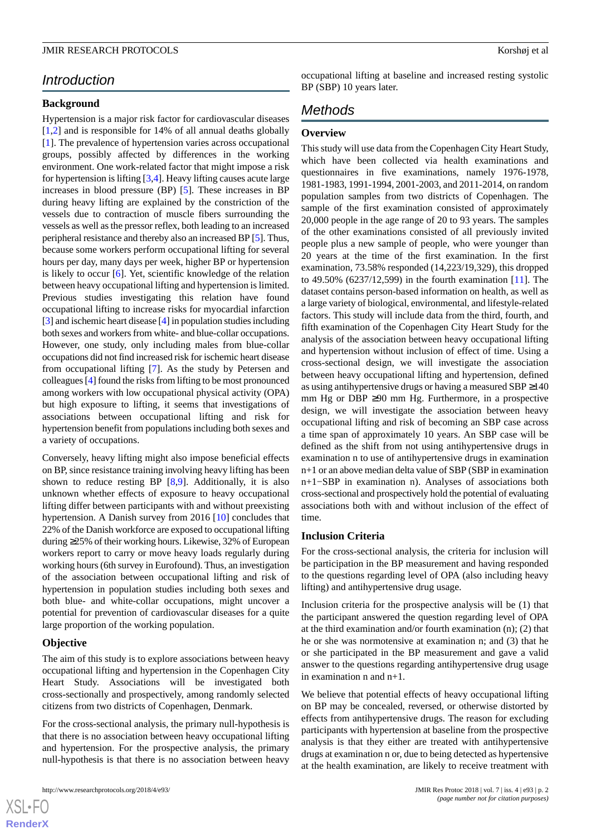# *Introduction*

# **Background**

Hypertension is a major risk factor for cardiovascular diseases [[1](#page-11-0)[,2](#page-11-1)] and is responsible for 14% of all annual deaths globally [[1\]](#page-11-0). The prevalence of hypertension varies across occupational groups, possibly affected by differences in the working environment. One work-related factor that might impose a risk for hypertension is lifting [\[3](#page-11-2),[4\]](#page-11-3). Heavy lifting causes acute large increases in blood pressure (BP) [[5\]](#page-11-4). These increases in BP during heavy lifting are explained by the constriction of the vessels due to contraction of muscle fibers surrounding the vessels as well as the pressor reflex, both leading to an increased peripheral resistance and thereby also an increased BP [\[5\]](#page-11-4). Thus, because some workers perform occupational lifting for several hours per day, many days per week, higher BP or hypertension is likely to occur [[6\]](#page-11-5). Yet, scientific knowledge of the relation between heavy occupational lifting and hypertension is limited. Previous studies investigating this relation have found occupational lifting to increase risks for myocardial infarction [[3\]](#page-11-2) and ischemic heart disease [[4\]](#page-11-3) in population studies including both sexes and workers from white- and blue-collar occupations. However, one study, only including males from blue-collar occupations did not find increased risk for ischemic heart disease from occupational lifting [\[7](#page-11-6)]. As the study by Petersen and colleagues [[4\]](#page-11-3) found the risks from lifting to be most pronounced among workers with low occupational physical activity (OPA) but high exposure to lifting, it seems that investigations of associations between occupational lifting and risk for hypertension benefit from populations including both sexes and a variety of occupations.

Conversely, heavy lifting might also impose beneficial effects on BP, since resistance training involving heavy lifting has been shown to reduce resting BP [[8,](#page-11-7)[9](#page-11-8)]. Additionally, it is also unknown whether effects of exposure to heavy occupational lifting differ between participants with and without preexisting hypertension. A Danish survey from 2016 [[10\]](#page-11-9) concludes that 22% of the Danish workforce are exposed to occupational lifting during ≥25% of their working hours. Likewise, 32% of European workers report to carry or move heavy loads regularly during working hours (6th survey in Eurofound). Thus, an investigation of the association between occupational lifting and risk of hypertension in population studies including both sexes and both blue- and white-collar occupations, might uncover a potential for prevention of cardiovascular diseases for a quite large proportion of the working population.

# **Objective**

The aim of this study is to explore associations between heavy occupational lifting and hypertension in the Copenhagen City Heart Study. Associations will be investigated both cross-sectionally and prospectively, among randomly selected citizens from two districts of Copenhagen, Denmark.

For the cross-sectional analysis, the primary null-hypothesis is that there is no association between heavy occupational lifting and hypertension. For the prospective analysis, the primary null-hypothesis is that there is no association between heavy

http://www.researchprotocols.org/2018/4/e93/ JMIR Res Protoc 2018 | vol. 7 | iss. 4 | e93 | p. 2

occupational lifting at baseline and increased resting systolic BP (SBP) 10 years later.

# *Methods*

#### **Overview**

This study will use data from the Copenhagen City Heart Study, which have been collected via health examinations and questionnaires in five examinations, namely 1976-1978, 1981-1983, 1991-1994, 2001-2003, and 2011-2014, on random population samples from two districts of Copenhagen. The sample of the first examination consisted of approximately 20,000 people in the age range of 20 to 93 years. The samples of the other examinations consisted of all previously invited people plus a new sample of people, who were younger than 20 years at the time of the first examination. In the first examination, 73.58% responded (14,223/19,329), this dropped to 49.50% (6237/12,599) in the fourth examination [\[11](#page-11-10)]. The dataset contains person-based information on health, as well as a large variety of biological, environmental, and lifestyle-related factors. This study will include data from the third, fourth, and fifth examination of the Copenhagen City Heart Study for the analysis of the association between heavy occupational lifting and hypertension without inclusion of effect of time. Using a cross-sectional design, we will investigate the association between heavy occupational lifting and hypertension, defined as using antihypertensive drugs or having a measured SBP ≥140 mm Hg or DBP  $\geq 90$  mm Hg. Furthermore, in a prospective design, we will investigate the association between heavy occupational lifting and risk of becoming an SBP case across a time span of approximately 10 years. An SBP case will be defined as the shift from not using antihypertensive drugs in examination n to use of antihypertensive drugs in examination n+1 or an above median delta value of SBP (SBP in examination n+1−SBP in examination n). Analyses of associations both cross-sectional and prospectively hold the potential of evaluating associations both with and without inclusion of the effect of time.

#### **Inclusion Criteria**

For the cross-sectional analysis, the criteria for inclusion will be participation in the BP measurement and having responded to the questions regarding level of OPA (also including heavy lifting) and antihypertensive drug usage.

Inclusion criteria for the prospective analysis will be (1) that the participant answered the question regarding level of OPA at the third examination and/or fourth examination (n); (2) that he or she was normotensive at examination n; and (3) that he or she participated in the BP measurement and gave a valid answer to the questions regarding antihypertensive drug usage in examination n and n+1.

We believe that potential effects of heavy occupational lifting on BP may be concealed, reversed, or otherwise distorted by effects from antihypertensive drugs. The reason for excluding participants with hypertension at baseline from the prospective analysis is that they either are treated with antihypertensive drugs at examination n or, due to being detected as hypertensive at the health examination, are likely to receive treatment with

 $XS$ -FO **[RenderX](http://www.renderx.com/)**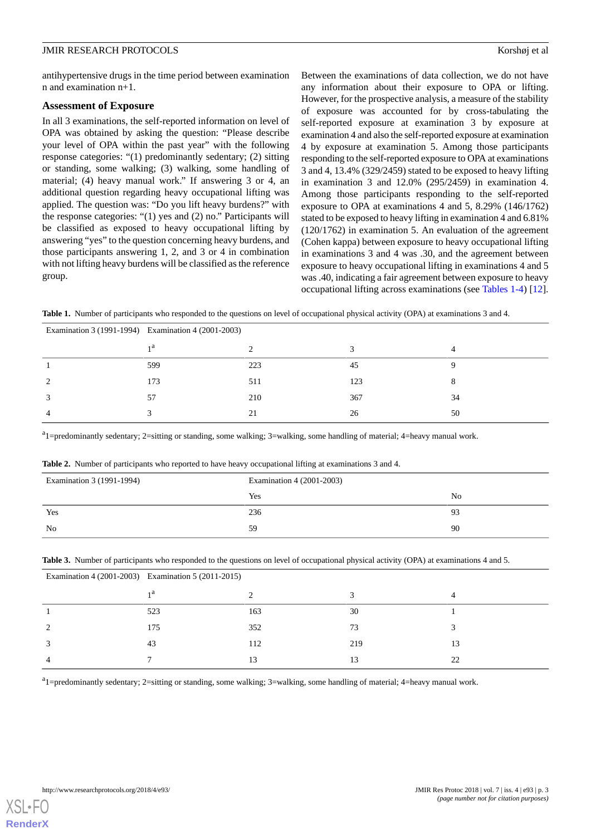antihypertensive drugs in the time period between examination n and examination n+1.

## **Assessment of Exposure**

In all 3 examinations, the self-reported information on level of OPA was obtained by asking the question: "Please describe your level of OPA within the past year" with the following response categories: "(1) predominantly sedentary; (2) sitting or standing, some walking; (3) walking, some handling of material; (4) heavy manual work." If answering 3 or 4, an additional question regarding heavy occupational lifting was applied. The question was: "Do you lift heavy burdens?" with the response categories: "(1) yes and (2) no." Participants will be classified as exposed to heavy occupational lifting by answering "yes" to the question concerning heavy burdens, and those participants answering 1, 2, and 3 or 4 in combination with not lifting heavy burdens will be classified as the reference group.

Between the examinations of data collection, we do not have any information about their exposure to OPA or lifting. However, for the prospective analysis, a measure of the stability of exposure was accounted for by cross-tabulating the self-reported exposure at examination 3 by exposure at examination 4 and also the self-reported exposure at examination 4 by exposure at examination 5. Among those participants responding to the self-reported exposure to OPA at examinations 3 and 4, 13.4% (329/2459) stated to be exposed to heavy lifting in examination 3 and 12.0% (295/2459) in examination 4. Among those participants responding to the self-reported exposure to OPA at examinations 4 and 5, 8.29% (146/1762) stated to be exposed to heavy lifting in examination 4 and 6.81% (120/1762) in examination 5. An evaluation of the agreement (Cohen kappa) between exposure to heavy occupational lifting in examinations 3 and 4 was .30, and the agreement between exposure to heavy occupational lifting in examinations 4 and 5 was .40, indicating a fair agreement between exposure to heavy occupational lifting across examinations (see [Tables 1-4\)](#page-2-0) [[12\]](#page-11-11).

<span id="page-2-0"></span>**Table 1.** Number of participants who responded to the questions on level of occupational physical activity (OPA) at examinations 3 and 4.

| Examination 3 (1991-1994) Examination 4 (2001-2003) |                |     |     |    |  |
|-----------------------------------------------------|----------------|-----|-----|----|--|
|                                                     | 1 <sup>a</sup> |     |     |    |  |
|                                                     | 599            | 223 | 45  |    |  |
|                                                     | 173            | 511 | 123 |    |  |
|                                                     | 57             | 210 | 367 | 34 |  |
|                                                     |                | 21  | 26  | 50 |  |

<span id="page-2-1"></span><sup>a</sup>1=predominantly sedentary; 2=sitting or standing, some walking; 3=walking, some handling of material; 4=heavy manual work.

**Table 2.** Number of participants who reported to have heavy occupational lifting at examinations 3 and 4.

| Examination 3 (1991-1994) | Examination 4 (2001-2003) |                |  |
|---------------------------|---------------------------|----------------|--|
|                           | Yes                       | N <sub>0</sub> |  |
| Yes                       | 236                       | 93             |  |
| No.                       | 59                        | 90             |  |

|  |  |  |  |  |  | Table 3. Number of participants who responded to the questions on level of occupational physical activity (OPA) at examinations 4 and 5. |
|--|--|--|--|--|--|------------------------------------------------------------------------------------------------------------------------------------------|
|--|--|--|--|--|--|------------------------------------------------------------------------------------------------------------------------------------------|

| Examination 4 (2001-2003) Examination 5 (2011-2015) |     |     |               |  |
|-----------------------------------------------------|-----|-----|---------------|--|
| 1a                                                  |     |     |               |  |
| 523                                                 | 163 | 30  |               |  |
| 175                                                 | 352 | 73  |               |  |
| 43                                                  | 112 | 219 | 13            |  |
|                                                     | 13  |     | $\mathcal{D}$ |  |

<sup>a</sup>1=predominantly sedentary; 2=sitting or standing, some walking; 3=walking, some handling of material; 4=heavy manual work.

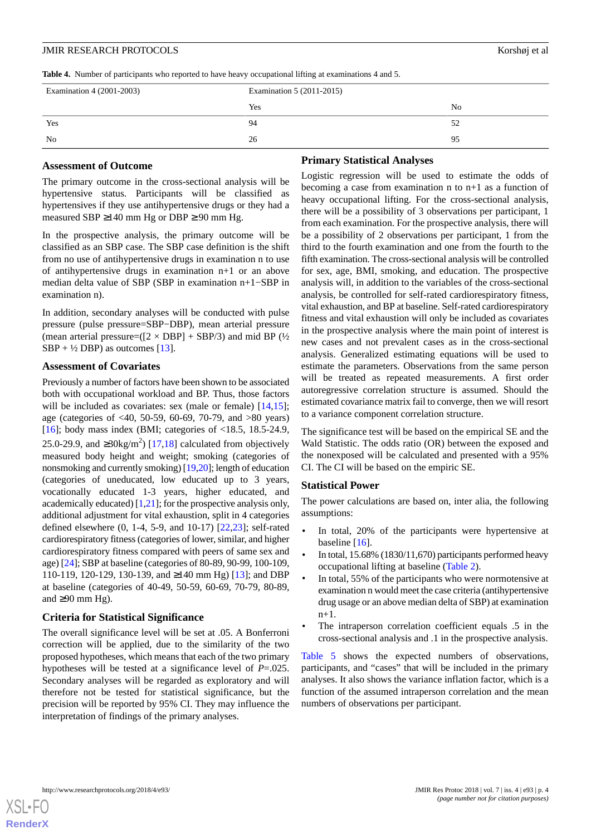**Table 4.** Number of participants who reported to have heavy occupational lifting at examinations 4 and 5.

| Examination 4 (2001-2003) | Examination 5 (2011-2015) |                |  |
|---------------------------|---------------------------|----------------|--|
|                           | Yes                       | N <sub>0</sub> |  |
| Yes                       | 94                        | 52             |  |
| No                        | 26                        | 95             |  |

#### **Assessment of Outcome**

**Primary Statistical Analyses**

The primary outcome in the cross-sectional analysis will be hypertensive status. Participants will be classified as hypertensives if they use antihypertensive drugs or they had a measured SBP  $\geq$ 140 mm Hg or DBP  $\geq$  90 mm Hg.

In the prospective analysis, the primary outcome will be classified as an SBP case. The SBP case definition is the shift from no use of antihypertensive drugs in examination n to use of antihypertensive drugs in examination n+1 or an above median delta value of SBP (SBP in examination n+1−SBP in examination n).

In addition, secondary analyses will be conducted with pulse pressure (pulse pressure=SBP−DBP), mean arterial pressure (mean arterial pressure=( $[2 \times DBP] + SBP/3$ ) and mid BP ( $\frac{1}{2}$ )  $SBP + \frac{1}{2} DBP$ ) as outcomes [\[13](#page-11-12)].

#### **Assessment of Covariates**

Previously a number of factors have been shown to be associated both with occupational workload and BP. Thus, those factors will be included as covariates: sex (male or female) [\[14](#page-11-13),[15\]](#page-11-14); age (categories of <40, 50-59, 60-69, 70-79, and >80 years) [[16\]](#page-11-15); body mass index (BMI; categories of  $\langle 18.5, 18.5, 24.9,$ 25.0-29.9, and ≥30kg/m<sup>2</sup>) [[17](#page-12-0)[,18](#page-12-1)] calculated from objectively measured body height and weight; smoking (categories of nonsmoking and currently smoking) [[19,](#page-12-2)[20\]](#page-12-3); length of education (categories of uneducated, low educated up to 3 years, vocationally educated 1-3 years, higher educated, and academically educated)  $[1,21]$  $[1,21]$  $[1,21]$ ; for the prospective analysis only, additional adjustment for vital exhaustion, split in 4 categories defined elsewhere (0, 1-4, 5-9, and 10-17) [[22](#page-12-5)[,23](#page-12-6)]; self-rated cardiorespiratory fitness (categories of lower, similar, and higher cardiorespiratory fitness compared with peers of same sex and age) [[24\]](#page-12-7); SBP at baseline (categories of 80-89, 90-99, 100-109, 110-119, 120-129, 130-139, and ≥140 mm Hg) [[13\]](#page-11-12); and DBP at baseline (categories of 40-49, 50-59, 60-69, 70-79, 80-89, and  $\geq$ 90 mm Hg).

#### **Criteria for Statistical Significance**

The overall significance level will be set at .05. A Bonferroni correction will be applied, due to the similarity of the two proposed hypotheses, which means that each of the two primary hypotheses will be tested at a significance level of *P*=.025. Secondary analyses will be regarded as exploratory and will therefore not be tested for statistical significance, but the precision will be reported by 95% CI. They may influence the interpretation of findings of the primary analyses.

Logistic regression will be used to estimate the odds of becoming a case from examination n to n+1 as a function of heavy occupational lifting. For the cross-sectional analysis, there will be a possibility of 3 observations per participant, 1 from each examination. For the prospective analysis, there will be a possibility of 2 observations per participant, 1 from the third to the fourth examination and one from the fourth to the fifth examination. The cross-sectional analysis will be controlled for sex, age, BMI, smoking, and education. The prospective analysis will, in addition to the variables of the cross-sectional analysis, be controlled for self-rated cardiorespiratory fitness, vital exhaustion, and BP at baseline. Self-rated cardiorespiratory fitness and vital exhaustion will only be included as covariates in the prospective analysis where the main point of interest is new cases and not prevalent cases as in the cross-sectional analysis. Generalized estimating equations will be used to estimate the parameters. Observations from the same person will be treated as repeated measurements. A first order autoregressive correlation structure is assumed. Should the estimated covariance matrix fail to converge, then we will resort to a variance component correlation structure.

The significance test will be based on the empirical SE and the Wald Statistic. The odds ratio (OR) between the exposed and the nonexposed will be calculated and presented with a 95% CI. The CI will be based on the empiric SE.

#### **Statistical Power**

The power calculations are based on, inter alia, the following assumptions:

- In total, 20% of the participants were hypertensive at baseline [\[16](#page-11-15)].
- In total, 15.68% (1830/11,670) participants performed heavy occupational lifting at baseline ([Table 2\)](#page-2-1).
- In total, 55% of the participants who were normotensive at examination n would meet the case criteria (antihypertensive drug usage or an above median delta of SBP) at examination  $n+1$ .
- The intraperson correlation coefficient equals .5 in the cross-sectional analysis and .1 in the prospective analysis.

[Table 5](#page-4-0) shows the expected numbers of observations, participants, and "cases" that will be included in the primary analyses. It also shows the variance inflation factor, which is a function of the assumed intraperson correlation and the mean numbers of observations per participant.

[XSL](http://www.w3.org/Style/XSL)•FO **[RenderX](http://www.renderx.com/)**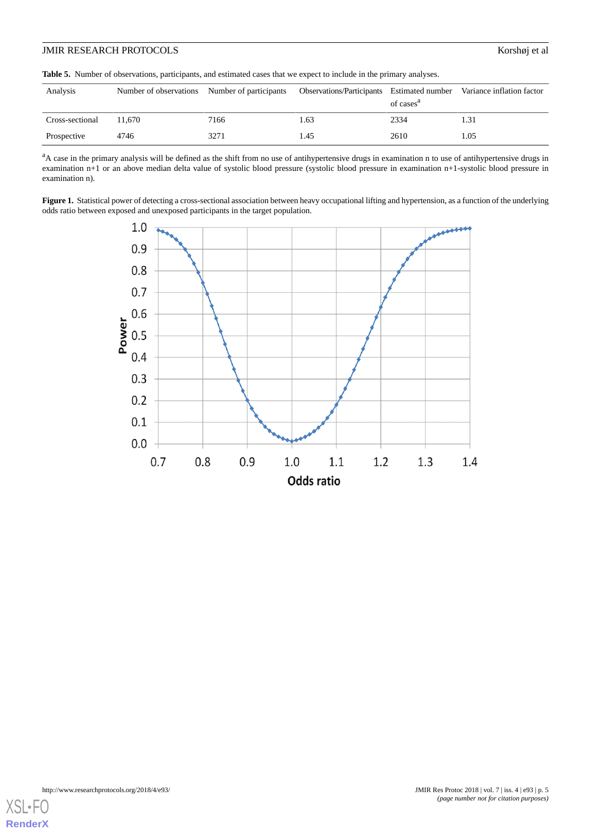# JMIR RESEARCH PROTOCOLS Korshøj et al

<span id="page-4-0"></span>**Table 5.** Number of observations, participants, and estimated cases that we expect to include in the primary analyses.

| Analysis        | Number of observations Number of participants |      | Observations/Participants Estimated number | of cases <sup>a</sup> | Variance inflation factor |
|-----------------|-----------------------------------------------|------|--------------------------------------------|-----------------------|---------------------------|
| Cross-sectional | 11.670                                        | 7166 | 1.63                                       | 2334                  | 1.31                      |
| Prospective     | 4746                                          | 3271 | 1.45                                       | 2610                  | 1.05                      |

<sup>a</sup>A case in the primary analysis will be defined as the shift from no use of antihypertensive drugs in examination n to use of antihypertensive drugs in examination n+1 or an above median delta value of systolic blood pressure (systolic blood pressure in examination n+1-systolic blood pressure in examination n).

<span id="page-4-1"></span>Figure 1. Statistical power of detecting a cross-sectional association between heavy occupational lifting and hypertension, as a function of the underlying odds ratio between exposed and unexposed participants in the target population.



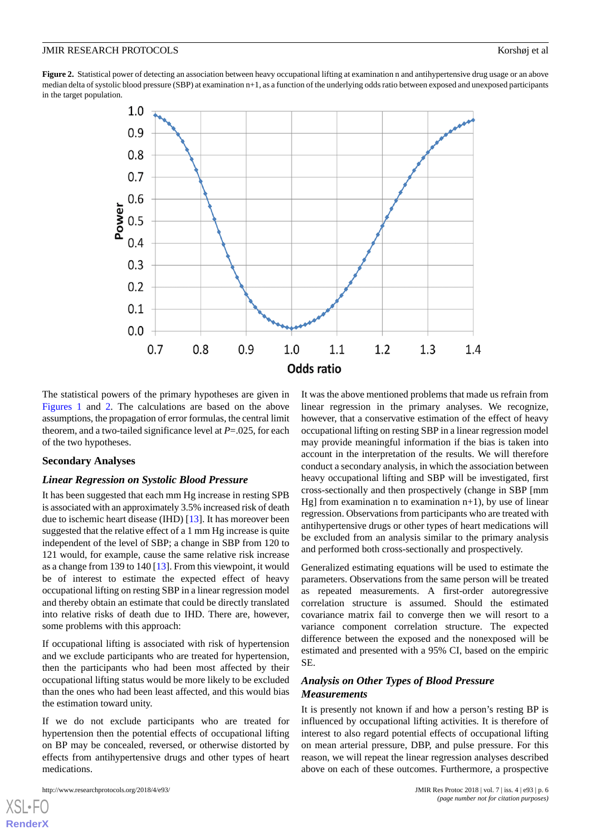<span id="page-5-0"></span>**Figure 2.** Statistical power of detecting an association between heavy occupational lifting at examination n and antihypertensive drug usage or an above median delta of systolic blood pressure (SBP) at examination n+1, as a function of the underlying odds ratio between exposed and unexposed participants in the target population.



The statistical powers of the primary hypotheses are given in [Figures 1](#page-4-1) and [2](#page-5-0). The calculations are based on the above assumptions, the propagation of error formulas, the central limit theorem, and a two-tailed significance level at *P*=.025, for each of the two hypotheses.

# **Secondary Analyses**

#### *Linear Regression on Systolic Blood Pressure*

It has been suggested that each mm Hg increase in resting SPB is associated with an approximately 3.5% increased risk of death due to ischemic heart disease (IHD) [\[13](#page-11-12)]. It has moreover been suggested that the relative effect of a 1 mm Hg increase is quite independent of the level of SBP; a change in SBP from 120 to 121 would, for example, cause the same relative risk increase as a change from 139 to 140 [[13\]](#page-11-12). From this viewpoint, it would be of interest to estimate the expected effect of heavy occupational lifting on resting SBP in a linear regression model and thereby obtain an estimate that could be directly translated into relative risks of death due to IHD. There are, however, some problems with this approach:

If occupational lifting is associated with risk of hypertension and we exclude participants who are treated for hypertension, then the participants who had been most affected by their occupational lifting status would be more likely to be excluded than the ones who had been least affected, and this would bias the estimation toward unity.

If we do not exclude participants who are treated for hypertension then the potential effects of occupational lifting on BP may be concealed, reversed, or otherwise distorted by effects from antihypertensive drugs and other types of heart medications.

[XSL](http://www.w3.org/Style/XSL)•FO **[RenderX](http://www.renderx.com/)**

It was the above mentioned problems that made us refrain from linear regression in the primary analyses. We recognize, however, that a conservative estimation of the effect of heavy occupational lifting on resting SBP in a linear regression model may provide meaningful information if the bias is taken into account in the interpretation of the results. We will therefore conduct a secondary analysis, in which the association between heavy occupational lifting and SBP will be investigated, first cross-sectionally and then prospectively (change in SBP [mm Hg] from examination n to examination  $n+1$ ), by use of linear regression. Observations from participants who are treated with antihypertensive drugs or other types of heart medications will be excluded from an analysis similar to the primary analysis and performed both cross-sectionally and prospectively.

Generalized estimating equations will be used to estimate the parameters. Observations from the same person will be treated as repeated measurements. A first-order autoregressive correlation structure is assumed. Should the estimated covariance matrix fail to converge then we will resort to a variance component correlation structure. The expected difference between the exposed and the nonexposed will be estimated and presented with a 95% CI, based on the empiric SE.

# *Analysis on Other Types of Blood Pressure Measurements*

It is presently not known if and how a person's resting BP is influenced by occupational lifting activities. It is therefore of interest to also regard potential effects of occupational lifting on mean arterial pressure, DBP, and pulse pressure. For this reason, we will repeat the linear regression analyses described above on each of these outcomes. Furthermore, a prospective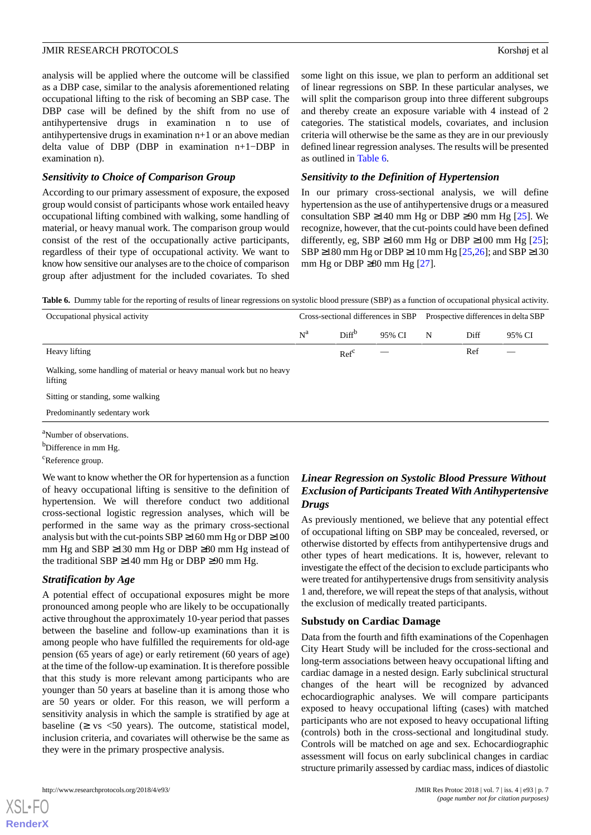analysis will be applied where the outcome will be classified as a DBP case, similar to the analysis aforementioned relating occupational lifting to the risk of becoming an SBP case. The DBP case will be defined by the shift from no use of antihypertensive drugs in examination n to use of antihypertensive drugs in examination n+1 or an above median delta value of DBP (DBP in examination n+1−DBP in examination n).

# *Sensitivity to Choice of Comparison Group*

According to our primary assessment of exposure, the exposed group would consist of participants whose work entailed heavy occupational lifting combined with walking, some handling of material, or heavy manual work. The comparison group would consist of the rest of the occupationally active participants, regardless of their type of occupational activity. We want to know how sensitive our analyses are to the choice of comparison group after adjustment for the included covariates. To shed

some light on this issue, we plan to perform an additional set of linear regressions on SBP. In these particular analyses, we will split the comparison group into three different subgroups and thereby create an exposure variable with 4 instead of 2 categories. The statistical models, covariates, and inclusion criteria will otherwise be the same as they are in our previously defined linear regression analyses. The results will be presented as outlined in [Table 6.](#page-6-0)

# *Sensitivity to the Definition of Hypertension*

In our primary cross-sectional analysis, we will define hypertension as the use of antihypertensive drugs or a measured consultation SBP ≥140 mm Hg or DBP ≥90 mm Hg  $[25]$  $[25]$ . We recognize, however, that the cut-points could have been defined differently, eg, SBP ≥160 mm Hg or DBP ≥100 mm Hg  $[25]$  $[25]$ ; SBP  $\geq$ 180 mm Hg or DBP  $\geq$ 110 mm Hg [[25](#page-12-8)[,26](#page-12-9)]; and SBP  $\geq$ 130 mm Hg or DBP  $\geq$ 80 mm Hg [\[27](#page-12-10)].

<span id="page-6-0"></span>**Table 6.** Dummy table for the reporting of results of linear regressions on systolic blood pressure (SBP) as a function of occupational physical activity.

| Occupational physical activity                                                  | Cross-sectional differences in SBP |                   |                          | Prospective differences in delta SBP |      |        |
|---------------------------------------------------------------------------------|------------------------------------|-------------------|--------------------------|--------------------------------------|------|--------|
|                                                                                 | $N^a$                              | Diff <sup>b</sup> | 95% CI                   | N                                    | Diff | 95% CI |
| Heavy lifting                                                                   |                                    | Ref <sup>c</sup>  | $\overline{\phantom{a}}$ |                                      | Ref  |        |
| Walking, some handling of material or heavy manual work but no heavy<br>lifting |                                    |                   |                          |                                      |      |        |
| Sitting or standing, some walking                                               |                                    |                   |                          |                                      |      |        |
| Predominantly sedentary work                                                    |                                    |                   |                          |                                      |      |        |

<sup>a</sup>Number of observations.

<sup>b</sup>Difference in mm Hg.

<sup>c</sup>Reference group.

We want to know whether the OR for hypertension as a function of heavy occupational lifting is sensitive to the definition of hypertension. We will therefore conduct two additional cross-sectional logistic regression analyses, which will be performed in the same way as the primary cross-sectional analysis but with the cut-points  $SBP \ge 160$  mm Hg or  $DBP \ge 100$ mm Hg and SBP ≥130 mm Hg or DBP ≥80 mm Hg instead of the traditional SBP  $\geq$ 140 mm Hg or DBP  $\geq$ 90 mm Hg.

# *Stratification by Age*

A potential effect of occupational exposures might be more pronounced among people who are likely to be occupationally active throughout the approximately 10-year period that passes between the baseline and follow-up examinations than it is among people who have fulfilled the requirements for old-age pension (65 years of age) or early retirement (60 years of age) at the time of the follow-up examination. It is therefore possible that this study is more relevant among participants who are younger than 50 years at baseline than it is among those who are 50 years or older. For this reason, we will perform a sensitivity analysis in which the sample is stratified by age at baseline  $(≥ vs < 50 years)$ . The outcome, statistical model, inclusion criteria, and covariates will otherwise be the same as they were in the primary prospective analysis.

# *Linear Regression on Systolic Blood Pressure Without Exclusion of Participants Treated With Antihypertensive Drugs*

As previously mentioned, we believe that any potential effect of occupational lifting on SBP may be concealed, reversed, or otherwise distorted by effects from antihypertensive drugs and other types of heart medications. It is, however, relevant to investigate the effect of the decision to exclude participants who were treated for antihypertensive drugs from sensitivity analysis 1 and, therefore, we will repeat the steps of that analysis, without the exclusion of medically treated participants.

# **Substudy on Cardiac Damage**

Data from the fourth and fifth examinations of the Copenhagen City Heart Study will be included for the cross-sectional and long-term associations between heavy occupational lifting and cardiac damage in a nested design. Early subclinical structural changes of the heart will be recognized by advanced echocardiographic analyses. We will compare participants exposed to heavy occupational lifting (cases) with matched participants who are not exposed to heavy occupational lifting (controls) both in the cross-sectional and longitudinal study. Controls will be matched on age and sex. Echocardiographic assessment will focus on early subclinical changes in cardiac structure primarily assessed by cardiac mass, indices of diastolic

[XSL](http://www.w3.org/Style/XSL)•FO **[RenderX](http://www.renderx.com/)**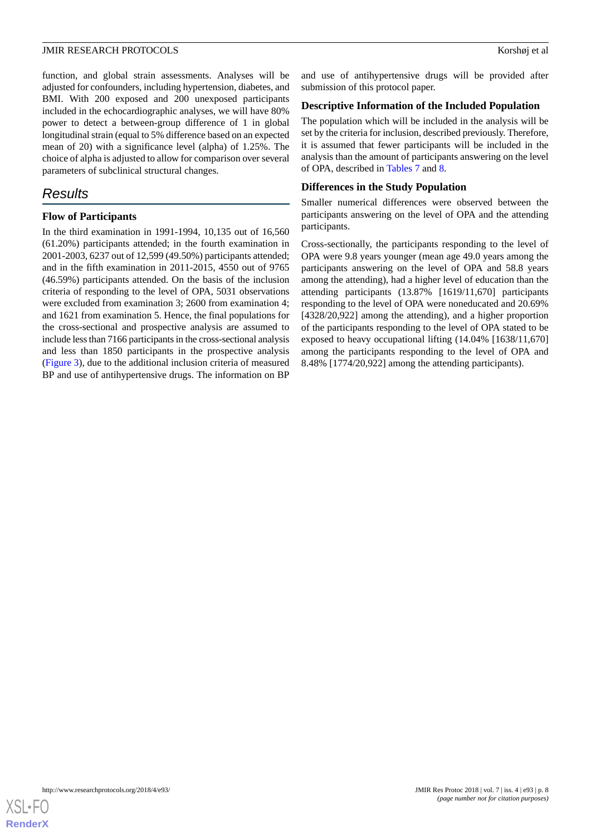function, and global strain assessments. Analyses will be adjusted for confounders, including hypertension, diabetes, and BMI. With 200 exposed and 200 unexposed participants included in the echocardiographic analyses, we will have 80% power to detect a between-group difference of 1 in global longitudinal strain (equal to 5% difference based on an expected mean of 20) with a significance level (alpha) of 1.25%. The choice of alpha is adjusted to allow for comparison over several parameters of subclinical structural changes.

# *Results*

# **Flow of Participants**

In the third examination in 1991-1994, 10,135 out of 16,560 (61.20%) participants attended; in the fourth examination in 2001-2003, 6237 out of 12,599 (49.50%) participants attended; and in the fifth examination in 2011-2015, 4550 out of 9765 (46.59%) participants attended. On the basis of the inclusion criteria of responding to the level of OPA, 5031 observations were excluded from examination 3; 2600 from examination 4; and 1621 from examination 5. Hence, the final populations for the cross-sectional and prospective analysis are assumed to include less than 7166 participants in the cross-sectional analysis and less than 1850 participants in the prospective analysis ([Figure 3\)](#page-8-0), due to the additional inclusion criteria of measured BP and use of antihypertensive drugs. The information on BP

and use of antihypertensive drugs will be provided after submission of this protocol paper.

# **Descriptive Information of the Included Population**

The population which will be included in the analysis will be set by the criteria for inclusion, described previously. Therefore, it is assumed that fewer participants will be included in the analysis than the amount of participants answering on the level of OPA, described in [Tables 7](#page-9-0) and [8](#page-10-0).

# **Differences in the Study Population**

Smaller numerical differences were observed between the participants answering on the level of OPA and the attending participants.

Cross-sectionally, the participants responding to the level of OPA were 9.8 years younger (mean age 49.0 years among the participants answering on the level of OPA and 58.8 years among the attending), had a higher level of education than the attending participants (13.87% [1619/11,670] participants responding to the level of OPA were noneducated and 20.69% [4328/20,922] among the attending), and a higher proportion of the participants responding to the level of OPA stated to be exposed to heavy occupational lifting (14.04% [1638/11,670] among the participants responding to the level of OPA and 8.48% [1774/20,922] among the attending participants).

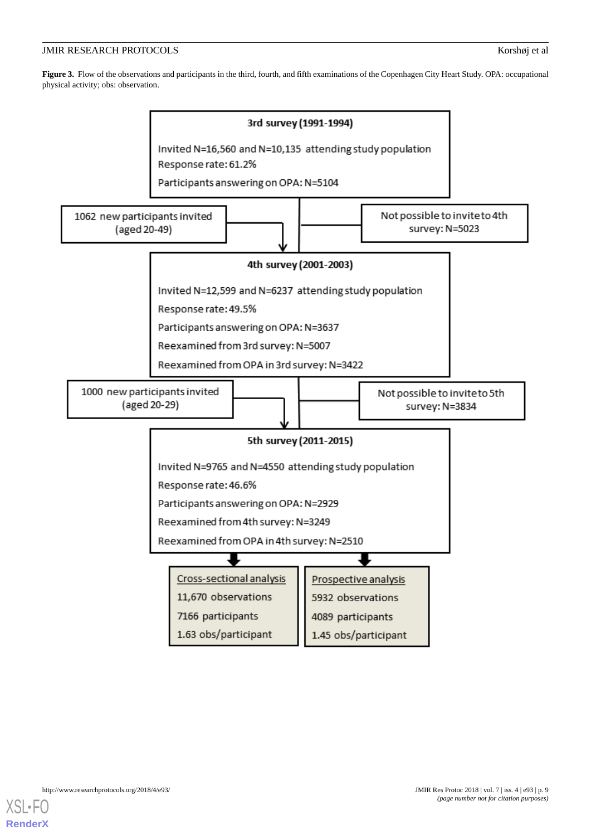# JMIR RESEARCH PROTOCOLS **Korshøj et al. 1996** Korshøj et al.

<span id="page-8-0"></span>**Figure 3.** Flow of the observations and participants in the third, fourth, and fifth examinations of the Copenhagen City Heart Study. OPA: occupational physical activity; obs: observation.



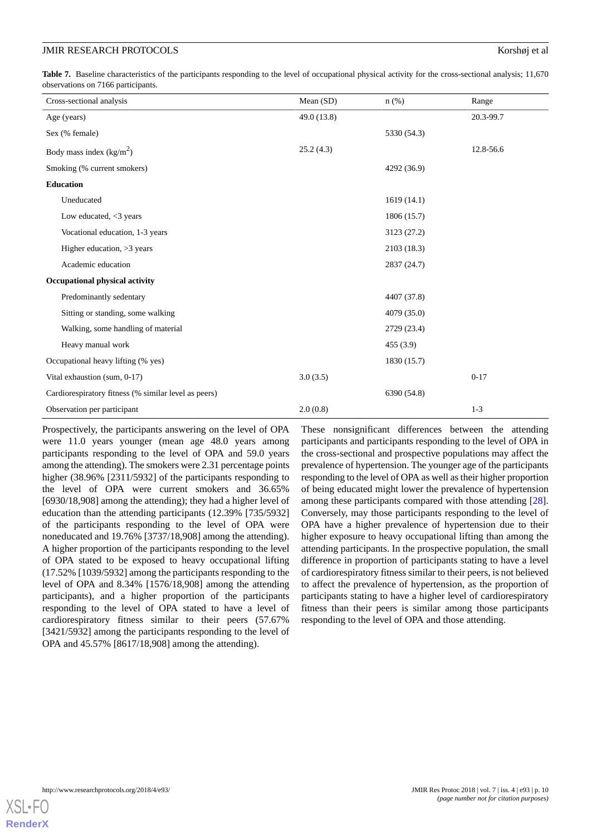<span id="page-9-0"></span>Table 7. Baseline characteristics of the participants responding to the level of occupational physical activity for the cross-sectional analysis; 11,670 observations on 7166 participants.

| Cross-sectional analysis                             | Mean (SD)   | $n$ (%)     | Range     |
|------------------------------------------------------|-------------|-------------|-----------|
| Age (years)                                          | 49.0 (13.8) |             | 20.3-99.7 |
| Sex (% female)                                       |             | 5330 (54.3) |           |
| Body mass index $(kg/m2)$                            | 25.2(4.3)   |             | 12.8-56.6 |
| Smoking (% current smokers)                          |             | 4292 (36.9) |           |
| <b>Education</b>                                     |             |             |           |
| Uneducated                                           |             | 1619(14.1)  |           |
| Low educated, $<$ 3 years                            |             | 1806 (15.7) |           |
| Vocational education, 1-3 years                      |             | 3123 (27.2) |           |
| Higher education, $>3$ years                         |             | 2103 (18.3) |           |
| Academic education                                   |             | 2837 (24.7) |           |
| Occupational physical activity                       |             |             |           |
| Predominantly sedentary                              |             | 4407 (37.8) |           |
| Sitting or standing, some walking                    |             | 4079 (35.0) |           |
| Walking, some handling of material                   |             | 2729 (23.4) |           |
| Heavy manual work                                    |             | 455(3.9)    |           |
| Occupational heavy lifting (% yes)                   |             | 1830 (15.7) |           |
| Vital exhaustion (sum, 0-17)                         | 3.0(3.5)    |             | $0 - 17$  |
| Cardiorespiratory fitness (% similar level as peers) |             | 6390 (54.8) |           |
| Observation per participant                          | 2.0(0.8)    |             | $1 - 3$   |

Prospectively, the participants answering on the level of OPA were 11.0 years younger (mean age 48.0 years among participants responding to the level of OPA and 59.0 years among the attending). The smokers were 2.31 percentage points higher (38.96% [2311/5932] of the participants responding to the level of OPA were current smokers and 36.65% [6930/18,908] among the attending); they had a higher level of education than the attending participants (12.39% [735/5932] of the participants responding to the level of OPA were noneducated and 19.76% [3737/18,908] among the attending). A higher proportion of the participants responding to the level of OPA stated to be exposed to heavy occupational lifting (17.52% [1039/5932] among the participants responding to the level of OPA and 8.34% [1576/18,908] among the attending participants), and a higher proportion of the participants responding to the level of OPA stated to have a level of cardiorespiratory fitness similar to their peers (57.67% [3421/5932] among the participants responding to the level of OPA and 45.57% [8617/18,908] among the attending).

These nonsignificant differences between the attending participants and participants responding to the level of OPA in the cross-sectional and prospective populations may affect the prevalence of hypertension. The younger age of the participants responding to the level of OPA as well as their higher proportion of being educated might lower the prevalence of hypertension among these participants compared with those attending [[28\]](#page-12-11). Conversely, may those participants responding to the level of OPA have a higher prevalence of hypertension due to their higher exposure to heavy occupational lifting than among the attending participants. In the prospective population, the small difference in proportion of participants stating to have a level of cardiorespiratory fitness similar to their peers, is not believed to affect the prevalence of hypertension, as the proportion of participants stating to have a higher level of cardiorespiratory fitness than their peers is similar among those participants responding to the level of OPA and those attending.

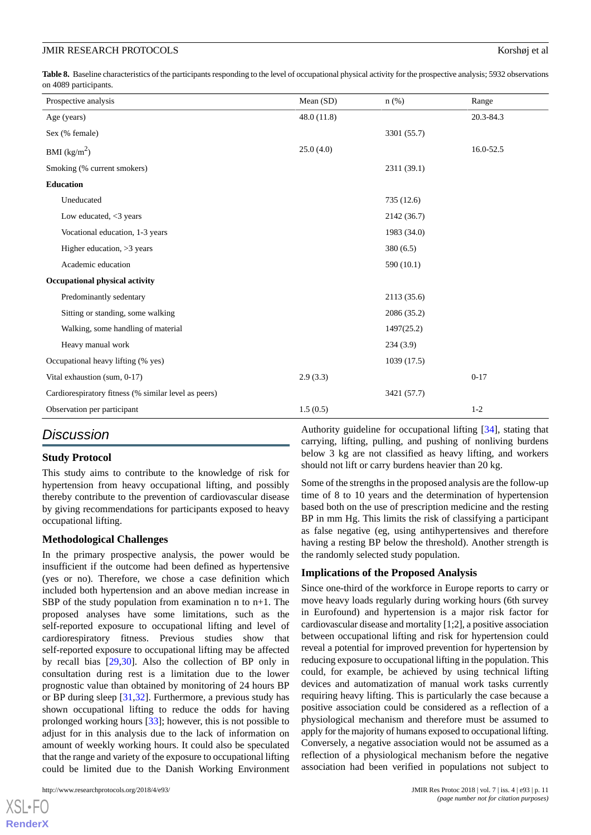<span id="page-10-0"></span>**Table 8.** Baseline characteristics of the participants responding to the level of occupational physical activity for the prospective analysis; 5932 observations on 4089 participants.

| Mean (SD)  | $n$ (%)     | Range     |
|------------|-------------|-----------|
| 48.0(11.8) |             | 20.3-84.3 |
|            | 3301 (55.7) |           |
| 25.0(4.0)  |             | 16.0-52.5 |
|            | 2311 (39.1) |           |
|            |             |           |
|            | 735 (12.6)  |           |
|            | 2142 (36.7) |           |
|            | 1983 (34.0) |           |
|            | 380(6.5)    |           |
|            | 590 (10.1)  |           |
|            |             |           |
|            | 2113 (35.6) |           |
|            | 2086 (35.2) |           |
|            | 1497(25.2)  |           |
|            | 234(3.9)    |           |
|            | 1039(17.5)  |           |
| 2.9(3.3)   |             | $0 - 17$  |
|            | 3421 (57.7) |           |
| 1.5(0.5)   |             | $1 - 2$   |
|            |             |           |

# *Discussion*

# **Study Protocol**

This study aims to contribute to the knowledge of risk for hypertension from heavy occupational lifting, and possibly thereby contribute to the prevention of cardiovascular disease by giving recommendations for participants exposed to heavy occupational lifting.

# **Methodological Challenges**

In the primary prospective analysis, the power would be insufficient if the outcome had been defined as hypertensive (yes or no). Therefore, we chose a case definition which included both hypertension and an above median increase in SBP of the study population from examination n to  $n+1$ . The proposed analyses have some limitations, such as the self-reported exposure to occupational lifting and level of cardiorespiratory fitness. Previous studies show that self-reported exposure to occupational lifting may be affected by recall bias [[29](#page-12-12)[,30](#page-12-13)]. Also the collection of BP only in consultation during rest is a limitation due to the lower prognostic value than obtained by monitoring of 24 hours BP or BP during sleep [[31](#page-12-14)[,32](#page-12-15)]. Furthermore, a previous study has shown occupational lifting to reduce the odds for having prolonged working hours [[33\]](#page-12-16); however, this is not possible to adjust for in this analysis due to the lack of information on amount of weekly working hours. It could also be speculated that the range and variety of the exposure to occupational lifting could be limited due to the Danish Working Environment

[XSL](http://www.w3.org/Style/XSL)•FO **[RenderX](http://www.renderx.com/)**

Authority guideline for occupational lifting [\[34](#page-12-17)], stating that carrying, lifting, pulling, and pushing of nonliving burdens below 3 kg are not classified as heavy lifting, and workers should not lift or carry burdens heavier than 20 kg.

Some of the strengths in the proposed analysis are the follow-up time of 8 to 10 years and the determination of hypertension based both on the use of prescription medicine and the resting BP in mm Hg. This limits the risk of classifying a participant as false negative (eg, using antihypertensives and therefore having a resting BP below the threshold). Another strength is the randomly selected study population.

# **Implications of the Proposed Analysis**

Since one-third of the workforce in Europe reports to carry or move heavy loads regularly during working hours (6th survey in Eurofound) and hypertension is a major risk factor for cardiovascular disease and mortality [1;2], a positive association between occupational lifting and risk for hypertension could reveal a potential for improved prevention for hypertension by reducing exposure to occupational lifting in the population. This could, for example, be achieved by using technical lifting devices and automatization of manual work tasks currently requiring heavy lifting. This is particularly the case because a positive association could be considered as a reflection of a physiological mechanism and therefore must be assumed to apply for the majority of humans exposed to occupational lifting. Conversely, a negative association would not be assumed as a reflection of a physiological mechanism before the negative association had been verified in populations not subject to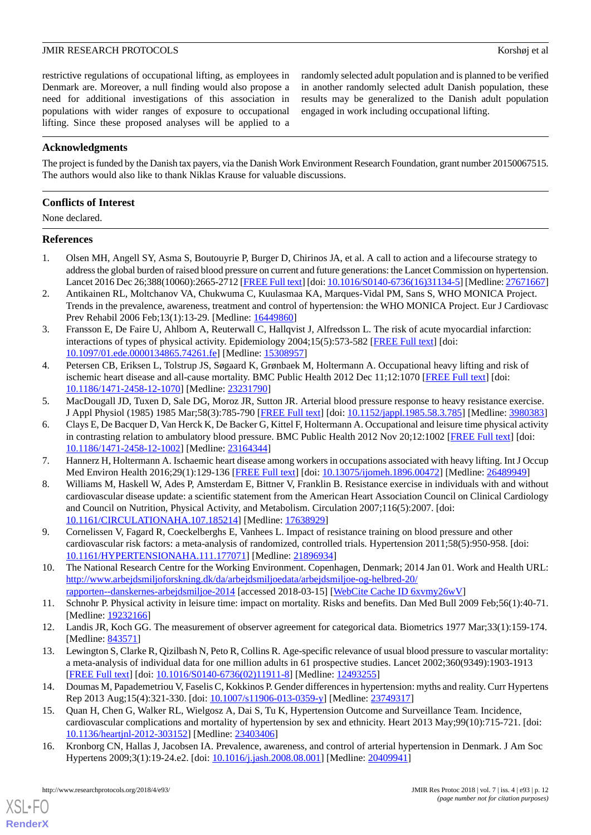restrictive regulations of occupational lifting, as employees in Denmark are. Moreover, a null finding would also propose a need for additional investigations of this association in populations with wider ranges of exposure to occupational lifting. Since these proposed analyses will be applied to a randomly selected adult population and is planned to be verified in another randomly selected adult Danish population, these results may be generalized to the Danish adult population engaged in work including occupational lifting.

# **Acknowledgments**

The project is funded by the Danish tax payers, via the Danish Work Environment Research Foundation, grant number 20150067515. The authors would also like to thank Niklas Krause for valuable discussions.

# **Conflicts of Interest**

None declared.

# <span id="page-11-0"></span>**References**

- <span id="page-11-1"></span>1. Olsen MH, Angell SY, Asma S, Boutouyrie P, Burger D, Chirinos JA, et al. A call to action and a lifecourse strategy to address the global burden of raised blood pressure on current and future generations: the Lancet Commission on hypertension. Lancet 2016 Dec 26;388(10060):2665-2712 [\[FREE Full text](http://www.thelancet.com/journals/lancet/article/PIIS0140-6736(16)31134-5/fulltext)] [doi: [10.1016/S0140-6736\(16\)31134-5](http://dx.doi.org/10.1016/S0140-6736(16)31134-5)] [Medline: [27671667\]](http://www.ncbi.nlm.nih.gov/entrez/query.fcgi?cmd=Retrieve&db=PubMed&list_uids=27671667&dopt=Abstract)
- <span id="page-11-2"></span>2. Antikainen RL, Moltchanov VA, Chukwuma C, Kuulasmaa KA, Marques-Vidal PM, Sans S, WHO MONICA Project. Trends in the prevalence, awareness, treatment and control of hypertension: the WHO MONICA Project. Eur J Cardiovasc Prev Rehabil 2006 Feb;13(1):13-29. [Medline: [16449860\]](http://www.ncbi.nlm.nih.gov/entrez/query.fcgi?cmd=Retrieve&db=PubMed&list_uids=16449860&dopt=Abstract)
- <span id="page-11-3"></span>3. Fransson E, De Faire U, Ahlbom A, Reuterwall C, Hallqvist J, Alfredsson L. The risk of acute myocardial infarction: interactions of types of physical activity. Epidemiology 2004;15(5):573-582 [\[FREE Full text\]](https://journals.lww.com/epidem/fulltext/2004/09000/The_Risk_of_Acute_Myocardial_Infarction_.15.aspx) [doi: [10.1097/01.ede.0000134865.74261.fe](http://dx.doi.org/10.1097/01.ede.0000134865.74261.fe)] [Medline: [15308957](http://www.ncbi.nlm.nih.gov/entrez/query.fcgi?cmd=Retrieve&db=PubMed&list_uids=15308957&dopt=Abstract)]
- <span id="page-11-5"></span><span id="page-11-4"></span>4. Petersen CB, Eriksen L, Tolstrup JS, Søgaard K, Grønbaek M, Holtermann A. Occupational heavy lifting and risk of ischemic heart disease and all-cause mortality. BMC Public Health 2012 Dec 11;12:1070 [[FREE Full text](https://bmcpublichealth.biomedcentral.com/articles/10.1186/1471-2458-12-1070)] [doi: [10.1186/1471-2458-12-1070\]](http://dx.doi.org/10.1186/1471-2458-12-1070) [Medline: [23231790\]](http://www.ncbi.nlm.nih.gov/entrez/query.fcgi?cmd=Retrieve&db=PubMed&list_uids=23231790&dopt=Abstract)
- 5. MacDougall JD, Tuxen D, Sale DG, Moroz JR, Sutton JR. Arterial blood pressure response to heavy resistance exercise. J Appl Physiol (1985) 1985 Mar;58(3):785-790 [[FREE Full text\]](http://www.physiology.org/doi/abs/10.1152/jappl.1985.58.3.785?url_ver=Z39.88-2003&rfr_id=ori:rid:crossref.org&rfr_dat=cr_pub%3dpubmed) [doi: [10.1152/jappl.1985.58.3.785\]](http://dx.doi.org/10.1152/jappl.1985.58.3.785) [Medline: [3980383](http://www.ncbi.nlm.nih.gov/entrez/query.fcgi?cmd=Retrieve&db=PubMed&list_uids=3980383&dopt=Abstract)]
- <span id="page-11-7"></span><span id="page-11-6"></span>6. Clays E, De Bacquer D, Van Herck K, De Backer G, Kittel F, Holtermann A. Occupational and leisure time physical activity in contrasting relation to ambulatory blood pressure. BMC Public Health 2012 Nov 20;12:1002 [[FREE Full text](https://bmcpublichealth.biomedcentral.com/articles/10.1186/1471-2458-12-1002)] [doi: [10.1186/1471-2458-12-1002\]](http://dx.doi.org/10.1186/1471-2458-12-1002) [Medline: [23164344\]](http://www.ncbi.nlm.nih.gov/entrez/query.fcgi?cmd=Retrieve&db=PubMed&list_uids=23164344&dopt=Abstract)
- 7. Hannerz H, Holtermann A. Ischaemic heart disease among workers in occupations associated with heavy lifting. Int J Occup Med Environ Health 2016;29(1):129-136 [\[FREE Full text\]](https://dx.doi.org/10.13075/ijomeh.1896.00472) [doi: [10.13075/ijomeh.1896.00472\]](http://dx.doi.org/10.13075/ijomeh.1896.00472) [Medline: [26489949\]](http://www.ncbi.nlm.nih.gov/entrez/query.fcgi?cmd=Retrieve&db=PubMed&list_uids=26489949&dopt=Abstract)
- <span id="page-11-8"></span>8. Williams M, Haskell W, Ades P, Amsterdam E, Bittner V, Franklin B. Resistance exercise in individuals with and without cardiovascular disease update: a scientific statement from the American Heart Association Council on Clinical Cardiology and Council on Nutrition, Physical Activity, and Metabolism. Circulation 2007;116(5):2007. [doi: [10.1161/CIRCULATIONAHA.107.185214\]](http://dx.doi.org/10.1161/CIRCULATIONAHA.107.185214) [Medline: [17638929\]](http://www.ncbi.nlm.nih.gov/entrez/query.fcgi?cmd=Retrieve&db=PubMed&list_uids=17638929&dopt=Abstract)
- <span id="page-11-10"></span><span id="page-11-9"></span>9. Cornelissen V, Fagard R, Coeckelberghs E, Vanhees L. Impact of resistance training on blood pressure and other cardiovascular risk factors: a meta-analysis of randomized, controlled trials. Hypertension 2011;58(5):950-958. [doi: [10.1161/HYPERTENSIONAHA.111.177071](http://dx.doi.org/10.1161/HYPERTENSIONAHA.111.177071)] [Medline: [21896934\]](http://www.ncbi.nlm.nih.gov/entrez/query.fcgi?cmd=Retrieve&db=PubMed&list_uids=21896934&dopt=Abstract)
- <span id="page-11-11"></span>10. The National Research Centre for the Working Environment. Copenhagen, Denmark; 2014 Jan 01. Work and Health URL: [http://www.arbejdsmiljoforskning.dk/da/arbejdsmiljoedata/arbejdsmiljoe-og-helbred-20/](http://www.arbejdsmiljoforskning.dk/da/arbejdsmiljoedata/arbejdsmiljoe-og-helbred-20/rapporten--danskernes-arbejdsmiljoe-2014) [rapporten--danskernes-arbejdsmiljoe-2014](http://www.arbejdsmiljoforskning.dk/da/arbejdsmiljoedata/arbejdsmiljoe-og-helbred-20/rapporten--danskernes-arbejdsmiljoe-2014) [accessed 2018-03-15] [\[WebCite Cache ID 6xvmy26wV](http://www.webcitation.org/

                                6xvmy26wV)]
- <span id="page-11-12"></span>11. Schnohr P. Physical activity in leisure time: impact on mortality. Risks and benefits. Dan Med Bull 2009 Feb;56(1):40-71. [Medline: [19232166](http://www.ncbi.nlm.nih.gov/entrez/query.fcgi?cmd=Retrieve&db=PubMed&list_uids=19232166&dopt=Abstract)]
- <span id="page-11-13"></span>12. Landis JR, Koch GG. The measurement of observer agreement for categorical data. Biometrics 1977 Mar;33(1):159-174. [Medline: [843571](http://www.ncbi.nlm.nih.gov/entrez/query.fcgi?cmd=Retrieve&db=PubMed&list_uids=843571&dopt=Abstract)]
- <span id="page-11-14"></span>13. Lewington S, Clarke R, Qizilbash N, Peto R, Collins R. Age-specific relevance of usual blood pressure to vascular mortality: a meta-analysis of individual data for one million adults in 61 prospective studies. Lancet 2002;360(9349):1903-1913 [[FREE Full text](http://www.thelancet.com/journals/lancet/article/PIIS0140-6736(02)11911-8/fulltext)] [doi: [10.1016/S0140-6736\(02\)11911-8\]](http://dx.doi.org/10.1016/S0140-6736(02)11911-8) [Medline: [12493255](http://www.ncbi.nlm.nih.gov/entrez/query.fcgi?cmd=Retrieve&db=PubMed&list_uids=12493255&dopt=Abstract)]
- <span id="page-11-15"></span>14. Doumas M, Papademetriou V, Faselis C, Kokkinos P. Gender differences in hypertension: myths and reality. Curr Hypertens Rep 2013 Aug;15(4):321-330. [doi: [10.1007/s11906-013-0359-y\]](http://dx.doi.org/10.1007/s11906-013-0359-y) [Medline: [23749317\]](http://www.ncbi.nlm.nih.gov/entrez/query.fcgi?cmd=Retrieve&db=PubMed&list_uids=23749317&dopt=Abstract)
- 15. Quan H, Chen G, Walker RL, Wielgosz A, Dai S, Tu K, Hypertension Outcome and Surveillance Team. Incidence, cardiovascular complications and mortality of hypertension by sex and ethnicity. Heart 2013 May;99(10):715-721. [doi: [10.1136/heartjnl-2012-303152](http://dx.doi.org/10.1136/heartjnl-2012-303152)] [Medline: [23403406\]](http://www.ncbi.nlm.nih.gov/entrez/query.fcgi?cmd=Retrieve&db=PubMed&list_uids=23403406&dopt=Abstract)
- 16. Kronborg CN, Hallas J, Jacobsen IA. Prevalence, awareness, and control of arterial hypertension in Denmark. J Am Soc Hypertens 2009;3(1):19-24.e2. [doi: [10.1016/j.jash.2008.08.001](http://dx.doi.org/10.1016/j.jash.2008.08.001)] [Medline: [20409941\]](http://www.ncbi.nlm.nih.gov/entrez/query.fcgi?cmd=Retrieve&db=PubMed&list_uids=20409941&dopt=Abstract)

[XSL](http://www.w3.org/Style/XSL)•FO **[RenderX](http://www.renderx.com/)**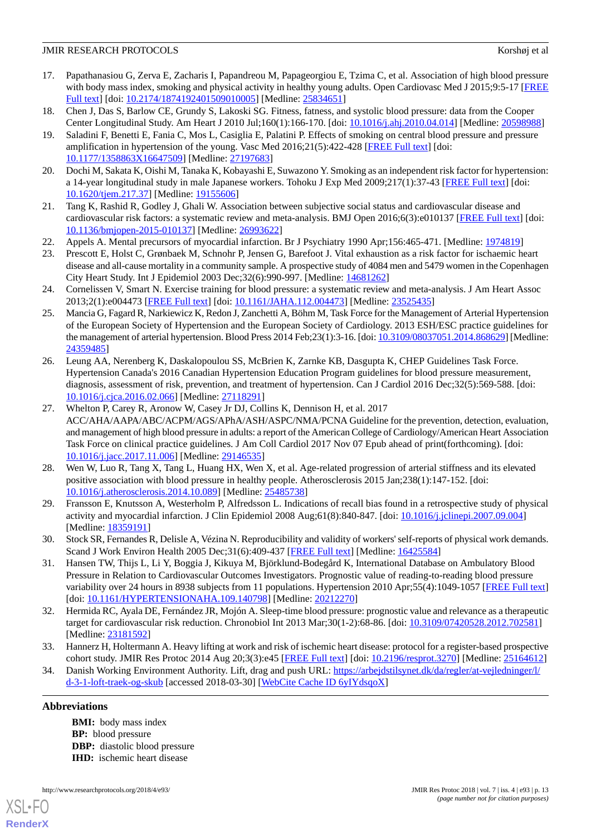- <span id="page-12-0"></span>17. Papathanasiou G, Zerva E, Zacharis I, Papandreou M, Papageorgiou E, Tzima C, et al. Association of high blood pressure with body mass index, smoking and physical activity in healthy young adults. Open Cardiovasc Med J 2015;9:5-17 [\[FREE](http://europepmc.org/abstract/MED/25834651) [Full text\]](http://europepmc.org/abstract/MED/25834651) [doi: [10.2174/1874192401509010005\]](http://dx.doi.org/10.2174/1874192401509010005) [Medline: [25834651](http://www.ncbi.nlm.nih.gov/entrez/query.fcgi?cmd=Retrieve&db=PubMed&list_uids=25834651&dopt=Abstract)]
- <span id="page-12-2"></span><span id="page-12-1"></span>18. Chen J, Das S, Barlow CE, Grundy S, Lakoski SG. Fitness, fatness, and systolic blood pressure: data from the Cooper Center Longitudinal Study. Am Heart J 2010 Jul;160(1):166-170. [doi: [10.1016/j.ahj.2010.04.014\]](http://dx.doi.org/10.1016/j.ahj.2010.04.014) [Medline: [20598988](http://www.ncbi.nlm.nih.gov/entrez/query.fcgi?cmd=Retrieve&db=PubMed&list_uids=20598988&dopt=Abstract)]
- 19. Saladini F, Benetti E, Fania C, Mos L, Casiglia E, Palatini P. Effects of smoking on central blood pressure and pressure amplification in hypertension of the young. Vasc Med 2016;21(5):422-428 [[FREE Full text](http://journals.sagepub.com/doi/abs/10.1177/1358863X16647509?url_ver=Z39.88-2003&rfr_id=ori%3Arid%3Acrossref.org&rfr_dat=cr_pub%3Dpubmed&)] [doi: [10.1177/1358863X16647509](http://dx.doi.org/10.1177/1358863X16647509)] [Medline: [27197683\]](http://www.ncbi.nlm.nih.gov/entrez/query.fcgi?cmd=Retrieve&db=PubMed&list_uids=27197683&dopt=Abstract)
- <span id="page-12-4"></span><span id="page-12-3"></span>20. Dochi M, Sakata K, Oishi M, Tanaka K, Kobayashi E, Suwazono Y. Smoking as an independent risk factor for hypertension: a 14-year longitudinal study in male Japanese workers. Tohoku J Exp Med 2009;217(1):37-43 [[FREE Full text](https://www.jstage.jst.go.jp/article/tjem/217/1/217_1_37/_article)] [doi: [10.1620/tjem.217.37\]](http://dx.doi.org/10.1620/tjem.217.37) [Medline: [19155606](http://www.ncbi.nlm.nih.gov/entrez/query.fcgi?cmd=Retrieve&db=PubMed&list_uids=19155606&dopt=Abstract)]
- <span id="page-12-5"></span>21. Tang K, Rashid R, Godley J, Ghali W. Association between subjective social status and cardiovascular disease and cardiovascular risk factors: a systematic review and meta-analysis. BMJ Open 2016;6(3):e010137 [\[FREE Full text\]](http://bmjopen.bmj.com/content/6/3/e010137.long) [doi: [10.1136/bmjopen-2015-010137\]](http://dx.doi.org/10.1136/bmjopen-2015-010137) [Medline: [26993622](http://www.ncbi.nlm.nih.gov/entrez/query.fcgi?cmd=Retrieve&db=PubMed&list_uids=26993622&dopt=Abstract)]
- <span id="page-12-6"></span>22. Appels A. Mental precursors of myocardial infarction. Br J Psychiatry 1990 Apr;156:465-471. [Medline: [1974819](http://www.ncbi.nlm.nih.gov/entrez/query.fcgi?cmd=Retrieve&db=PubMed&list_uids=1974819&dopt=Abstract)]
- <span id="page-12-7"></span>23. Prescott E, Holst C, Grønbaek M, Schnohr P, Jensen G, Barefoot J. Vital exhaustion as a risk factor for ischaemic heart disease and all-cause mortality in a community sample. A prospective study of 4084 men and 5479 women in the Copenhagen City Heart Study. Int J Epidemiol 2003 Dec;32(6):990-997. [Medline: [14681262\]](http://www.ncbi.nlm.nih.gov/entrez/query.fcgi?cmd=Retrieve&db=PubMed&list_uids=14681262&dopt=Abstract)
- <span id="page-12-8"></span>24. Cornelissen V, Smart N. Exercise training for blood pressure: a systematic review and meta-analysis. J Am Heart Assoc 2013;2(1):e004473 [\[FREE Full text](http://jaha.ahajournals.org/content/2/1/e004473.long)] [doi: [10.1161/JAHA.112.004473\]](http://dx.doi.org/10.1161/JAHA.112.004473) [Medline: [23525435\]](http://www.ncbi.nlm.nih.gov/entrez/query.fcgi?cmd=Retrieve&db=PubMed&list_uids=23525435&dopt=Abstract)
- <span id="page-12-9"></span>25. Mancia G, Fagard R, Narkiewicz K, Redon J, Zanchetti A, Böhm M, Task Force for the Management of Arterial Hypertension of the European Society of Hypertension and the European Society of Cardiology. 2013 ESH/ESC practice guidelines for the management of arterial hypertension. Blood Press 2014 Feb;23(1):3-16. [doi: [10.3109/08037051.2014.868629\]](http://dx.doi.org/10.3109/08037051.2014.868629) [Medline: [24359485](http://www.ncbi.nlm.nih.gov/entrez/query.fcgi?cmd=Retrieve&db=PubMed&list_uids=24359485&dopt=Abstract)]
- <span id="page-12-10"></span>26. Leung AA, Nerenberg K, Daskalopoulou SS, McBrien K, Zarnke KB, Dasgupta K, CHEP Guidelines Task Force. Hypertension Canada's 2016 Canadian Hypertension Education Program guidelines for blood pressure measurement, diagnosis, assessment of risk, prevention, and treatment of hypertension. Can J Cardiol 2016 Dec;32(5):569-588. [doi: [10.1016/j.cjca.2016.02.066\]](http://dx.doi.org/10.1016/j.cjca.2016.02.066) [Medline: [27118291\]](http://www.ncbi.nlm.nih.gov/entrez/query.fcgi?cmd=Retrieve&db=PubMed&list_uids=27118291&dopt=Abstract)
- <span id="page-12-11"></span>27. Whelton P, Carey R, Aronow W, Casey Jr DJ, Collins K, Dennison H, et al. 2017 ACC/AHA/AAPA/ABC/ACPM/AGS/APhA/ASH/ASPC/NMA/PCNA Guideline for the prevention, detection, evaluation, and management of high blood pressure in adults: a report of the American College of Cardiology/American Heart Association Task Force on clinical practice guidelines. J Am Coll Cardiol 2017 Nov 07 Epub ahead of print(forthcoming). [doi: [10.1016/j.jacc.2017.11.006\]](http://dx.doi.org/10.1016/j.jacc.2017.11.006) [Medline: [29146535\]](http://www.ncbi.nlm.nih.gov/entrez/query.fcgi?cmd=Retrieve&db=PubMed&list_uids=29146535&dopt=Abstract)
- <span id="page-12-12"></span>28. Wen W, Luo R, Tang X, Tang L, Huang HX, Wen X, et al. Age-related progression of arterial stiffness and its elevated positive association with blood pressure in healthy people. Atherosclerosis 2015 Jan;238(1):147-152. [doi: [10.1016/j.atherosclerosis.2014.10.089](http://dx.doi.org/10.1016/j.atherosclerosis.2014.10.089)] [Medline: [25485738\]](http://www.ncbi.nlm.nih.gov/entrez/query.fcgi?cmd=Retrieve&db=PubMed&list_uids=25485738&dopt=Abstract)
- <span id="page-12-14"></span><span id="page-12-13"></span>29. Fransson E, Knutsson A, Westerholm P, Alfredsson L. Indications of recall bias found in a retrospective study of physical activity and myocardial infarction. J Clin Epidemiol 2008 Aug;61(8):840-847. [doi: [10.1016/j.jclinepi.2007.09.004\]](http://dx.doi.org/10.1016/j.jclinepi.2007.09.004) [Medline: [18359191](http://www.ncbi.nlm.nih.gov/entrez/query.fcgi?cmd=Retrieve&db=PubMed&list_uids=18359191&dopt=Abstract)]
- <span id="page-12-15"></span>30. Stock SR, Fernandes R, Delisle A, Vézina N. Reproducibility and validity of workers' self-reports of physical work demands. Scand J Work Environ Health 2005 Dec;31(6):409-437 [[FREE Full text](http://www.sjweh.fi/show_abstract.php?abstract_id=947)] [Medline: [16425584\]](http://www.ncbi.nlm.nih.gov/entrez/query.fcgi?cmd=Retrieve&db=PubMed&list_uids=16425584&dopt=Abstract)
- <span id="page-12-16"></span>31. Hansen TW, Thijs L, Li Y, Boggia J, Kikuya M, Björklund-Bodegård K, International Database on Ambulatory Blood Pressure in Relation to Cardiovascular Outcomes Investigators. Prognostic value of reading-to-reading blood pressure variability over 24 hours in 8938 subjects from 11 populations. Hypertension 2010 Apr;55(4):1049-1057 [\[FREE Full text](http://hyper.ahajournals.org/cgi/pmidlookup?view=long&pmid=20212270)] [doi: [10.1161/HYPERTENSIONAHA.109.140798\]](http://dx.doi.org/10.1161/HYPERTENSIONAHA.109.140798) [Medline: [20212270](http://www.ncbi.nlm.nih.gov/entrez/query.fcgi?cmd=Retrieve&db=PubMed&list_uids=20212270&dopt=Abstract)]
- <span id="page-12-17"></span>32. Hermida RC, Ayala DE, Fernández JR, Mojón A. Sleep-time blood pressure: prognostic value and relevance as a therapeutic target for cardiovascular risk reduction. Chronobiol Int 2013 Mar;30(1-2):68-86. [doi: [10.3109/07420528.2012.702581\]](http://dx.doi.org/10.3109/07420528.2012.702581) [Medline: [23181592](http://www.ncbi.nlm.nih.gov/entrez/query.fcgi?cmd=Retrieve&db=PubMed&list_uids=23181592&dopt=Abstract)]
- 33. Hannerz H, Holtermann A. Heavy lifting at work and risk of ischemic heart disease: protocol for a register-based prospective cohort study. JMIR Res Protoc 2014 Aug 20;3(3):e45 [[FREE Full text](http://www.researchprotocols.org/2014/3/e45/)] [doi: [10.2196/resprot.3270\]](http://dx.doi.org/10.2196/resprot.3270) [Medline: [25164612\]](http://www.ncbi.nlm.nih.gov/entrez/query.fcgi?cmd=Retrieve&db=PubMed&list_uids=25164612&dopt=Abstract)
- 34. Danish Working Environment Authority. Lift, drag and push URL: [https://arbejdstilsynet.dk/da/regler/at-vejledninger/l/](https://arbejdstilsynet.dk/da/regler/at-vejledninger/l/d-3-1-loft-traek-og-skub) [d-3-1-loft-traek-og-skub](https://arbejdstilsynet.dk/da/regler/at-vejledninger/l/d-3-1-loft-traek-og-skub) [accessed 2018-03-30] [\[WebCite Cache ID 6yIYdsqoX\]](http://www.webcitation.org/

                                6yIYdsqoX)

# **Abbreviations**

[XSL](http://www.w3.org/Style/XSL)•FO **[RenderX](http://www.renderx.com/)**

**BMI:** body mass index **BP:** blood pressure **DBP:** diastolic blood pressure **IHD:** ischemic heart disease